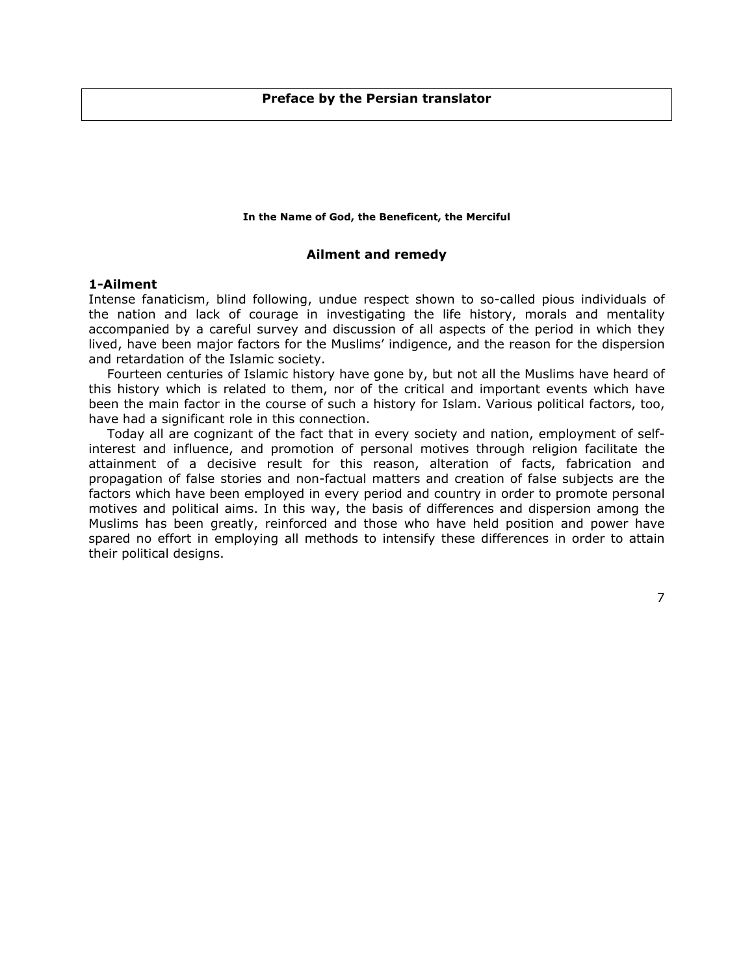# **Preface by the Persian translator**

#### **In the Name of God, the Beneficent, the Merciful**

## **Ailment and remedy**

# **1-Ailment**

Intense fanaticism, blind following, undue respect shown to so-called pious individuals of the nation and lack of courage in investigating the life history, morals and mentality accompanied by a careful survey and discussion of all aspects of the period in which they lived, have been major factors for the Muslims' indigence, and the reason for the dispersion and retardation of the Islamic society.

Fourteen centuries of Islamic history have gone by, but not all the Muslims have heard of this history which is related to them, nor of the critical and important events which have been the main factor in the course of such a history for Islam. Various political factors, too, have had a significant role in this connection.

Today all are cognizant of the fact that in every society and nation, employment of selfinterest and influence, and promotion of personal motives through religion facilitate the attainment of a decisive result for this reason, alteration of facts, fabrication and propagation of false stories and non-factual matters and creation of false subjects are the factors which have been employed in every period and country in order to promote personal motives and political aims. In this way, the basis of differences and dispersion among the Muslims has been greatly, reinforced and those who have held position and power have spared no effort in employing all methods to intensify these differences in order to attain their political designs.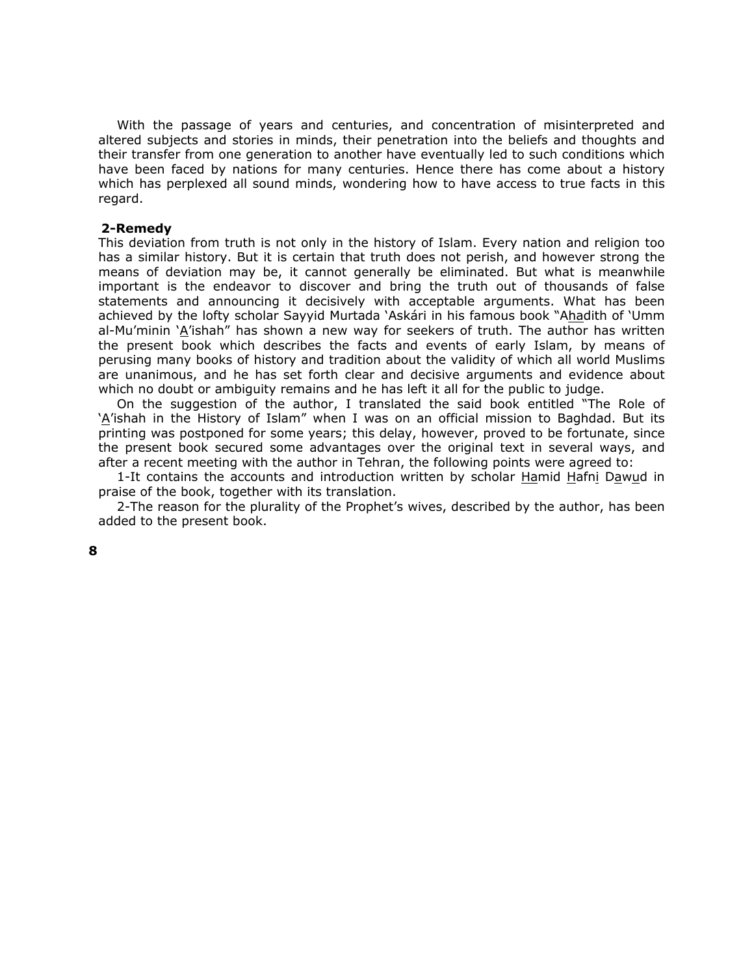With the passage of years and centuries, and concentration of misinterpreted and altered subjects and stories in minds, their penetration into the beliefs and thoughts and their transfer from one generation to another have eventually led to such conditions which have been faced by nations for many centuries. Hence there has come about a history which has perplexed all sound minds, wondering how to have access to true facts in this regard.

# **2-Remedy**

This deviation from truth is not only in the history of Islam. Every nation and religion too has a similar history. But it is certain that truth does not perish, and however strong the means of deviation may be, it cannot generally be eliminated. But what is meanwhile important is the endeavor to discover and bring the truth out of thousands of false statements and announcing it decisively with acceptable arguments. What has been achieved by the lofty scholar Sayyid Murtada 'Askári in his famous book "Ahadith of 'Umm al-Mu'minin 'A'ishah" has shown a new way for seekers of truth. The author has written the present book which describes the facts and events of early Islam, by means of perusing many books of history and tradition about the validity of which all world Muslims are unanimous, and he has set forth clear and decisive arguments and evidence about which no doubt or ambiguity remains and he has left it all for the public to judge.

On the suggestion of the author, I translated the said book entitled "The Role of 'A'ishah in the History of Islam" when I was on an official mission to Baghdad. But its printing was postponed for some years; this delay, however, proved to be fortunate, since the present book secured some advantages over the original text in several ways, and after a recent meeting with the author in Tehran, the following points were agreed to:

1-It contains the accounts and introduction written by scholar Hamid Hafni Dawud in praise of the book, together with its translation.

2-The reason for the plurality of the Prophet's wives, described by the author, has been added to the present book.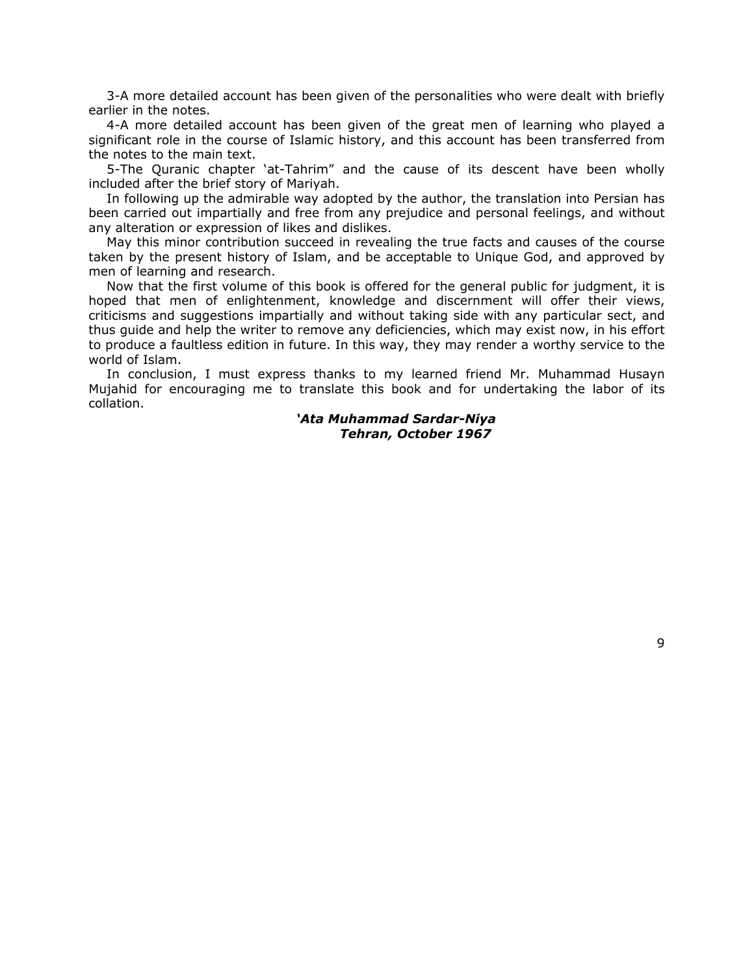3-A more detailed account has been given of the personalities who were dealt with briefly earlier in the notes.

4-A more detailed account has been given of the great men of learning who played a significant role in the course of Islamic history, and this account has been transferred from the notes to the main text.

5-The Quranic chapter 'at-Tahrim" and the cause of its descent have been wholly included after the brief story of Mariyah.

In following up the admirable way adopted by the author, the translation into Persian has been carried out impartially and free from any prejudice and personal feelings, and without any alteration or expression of likes and dislikes.

May this minor contribution succeed in revealing the true facts and causes of the course taken by the present history of Islam, and be acceptable to Unique God, and approved by men of learning and research.

Now that the first volume of this book is offered for the general public for judgment, it is hoped that men of enlightenment, knowledge and discernment will offer their views, criticisms and suggestions impartially and without taking side with any particular sect, and thus guide and help the writer to remove any deficiencies, which may exist now, in his effort to produce a faultless edition in future. In this way, they may render a worthy service to the world of Islam.

In conclusion, I must express thanks to my learned friend Mr. Muhammad Husayn Mujahid for encouraging me to translate this book and for undertaking the labor of its collation.

> *'Ata Muhammad Sardar-Niya Tehran, October 1967*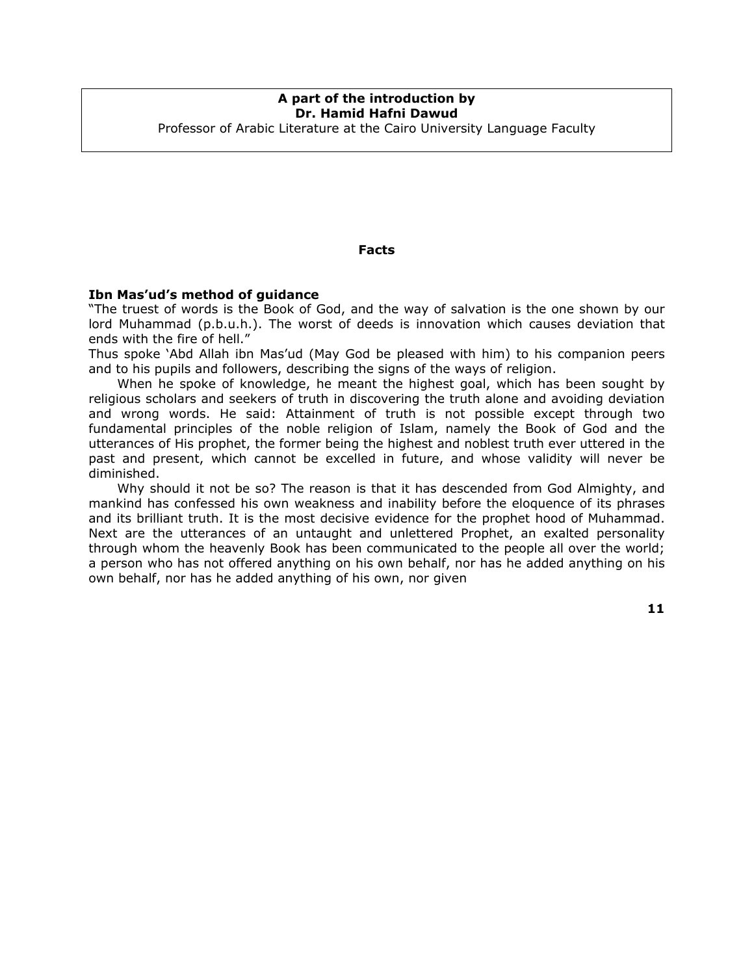# **A part of the introduction by Dr. Hamid Hafni Dawud**  Professor of Arabic Literature at the Cairo University Language Faculty

## **Facts**

# **Ibn Mas'ud's method of guidance**

"The truest of words is the Book of God, and the way of salvation is the one shown by our lord Muhammad (p.b.u.h.). The worst of deeds is innovation which causes deviation that ends with the fire of hell."

Thus spoke 'Abd Allah ibn Mas'ud (May God be pleased with him) to his companion peers and to his pupils and followers, describing the signs of the ways of religion.

When he spoke of knowledge, he meant the highest goal, which has been sought by religious scholars and seekers of truth in discovering the truth alone and avoiding deviation and wrong words. He said: Attainment of truth is not possible except through two fundamental principles of the noble religion of Islam, namely the Book of God and the utterances of His prophet, the former being the highest and noblest truth ever uttered in the past and present, which cannot be excelled in future, and whose validity will never be diminished.

Why should it not be so? The reason is that it has descended from God Almighty, and mankind has confessed his own weakness and inability before the eloquence of its phrases and its brilliant truth. It is the most decisive evidence for the prophet hood of Muhammad. Next are the utterances of an untaught and unlettered Prophet, an exalted personality through whom the heavenly Book has been communicated to the people all over the world; a person who has not offered anything on his own behalf, nor has he added anything on his own behalf, nor has he added anything of his own, nor given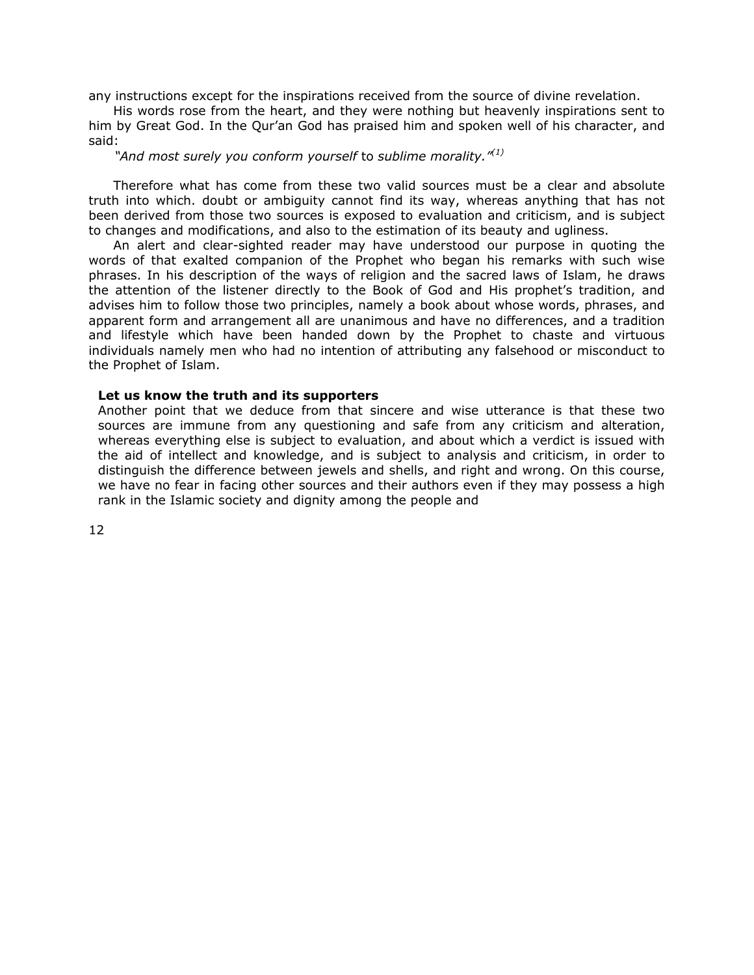any instructions except for the inspirations received from the source of divine revelation.

His words rose from the heart, and they were nothing but heavenly inspirations sent to him by Great God. In the Qur'an God has praised him and spoken well of his character, and said:

*"And most surely you conform yourself* to *sublime morality."(1)*

Therefore what has come from these two valid sources must be a clear and absolute truth into which. doubt or ambiguity cannot find its way, whereas anything that has not been derived from those two sources is exposed to evaluation and criticism, and is subject to changes and modifications, and also to the estimation of its beauty and ugliness.

An alert and clear-sighted reader may have understood our purpose in quoting the words of that exalted companion of the Prophet who began his remarks with such wise phrases. In his description of the ways of religion and the sacred laws of Islam, he draws the attention of the listener directly to the Book of God and His prophet's tradition, and advises him to follow those two principles, namely a book about whose words, phrases, and apparent form and arrangement all are unanimous and have no differences, and a tradition and lifestyle which have been handed down by the Prophet to chaste and virtuous individuals namely men who had no intention of attributing any falsehood or misconduct to the Prophet of Islam.

## **Let us know the truth and its supporters**

Another point that we deduce from that sincere and wise utterance is that these two sources are immune from any questioning and safe from any criticism and alteration, whereas everything else is subject to evaluation, and about which a verdict is issued with the aid of intellect and knowledge, and is subject to analysis and criticism, in order to distinguish the difference between jewels and shells, and right and wrong. On this course, we have no fear in facing other sources and their authors even if they may possess a high rank in the Islamic society and dignity among the people and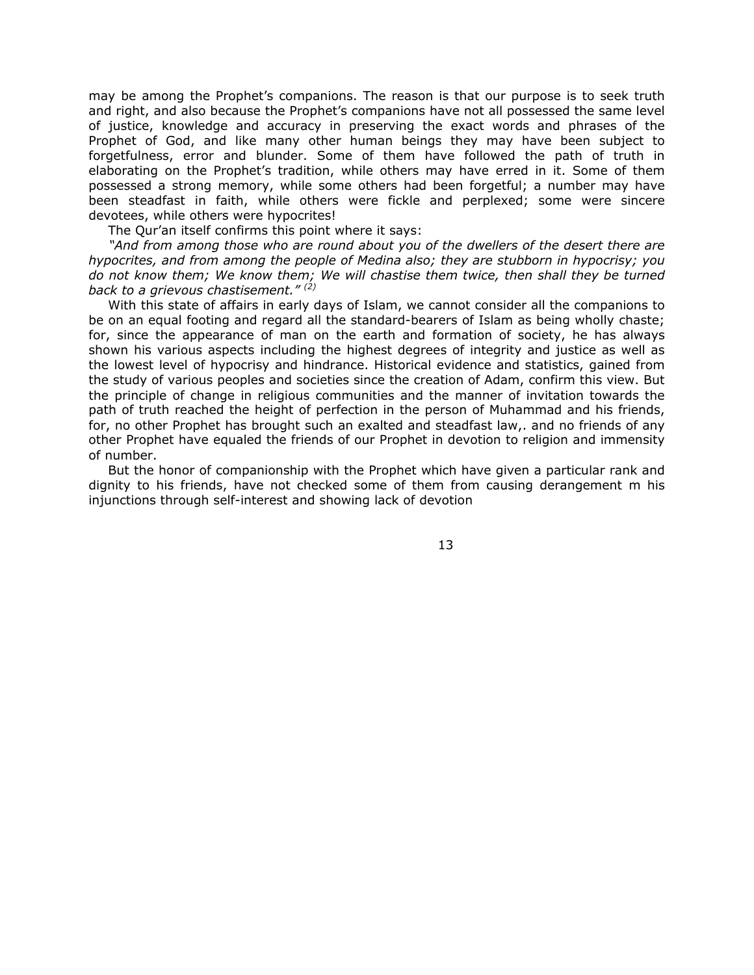may be among the Prophet's companions. The reason is that our purpose is to seek truth and right, and also because the Prophet's companions have not all possessed the same level of justice, knowledge and accuracy in preserving the exact words and phrases of the Prophet of God, and like many other human beings they may have been subject to forgetfulness, error and blunder. Some of them have followed the path of truth in elaborating on the Prophet's tradition, while others may have erred in it. Some of them possessed a strong memory, while some others had been forgetful; a number may have been steadfast in faith, while others were fickle and perplexed; some were sincere devotees, while others were hypocrites!

The Qur'an itself confirms this point where it says:

*"And from among those who are round about you of the dwellers of the desert there are hypocrites, and from among the people of Medina also; they are stubborn in hypocrisy; you do not know them; We know them; We will chastise them twice, then shall they be turned back to a grievous chastisement." (2)*

With this state of affairs in early days of Islam, we cannot consider all the companions to be on an equal footing and regard all the standard-bearers of Islam as being wholly chaste; for, since the appearance of man on the earth and formation of society, he has always shown his various aspects including the highest degrees of integrity and justice as well as the lowest level of hypocrisy and hindrance. Historical evidence and statistics, gained from the study of various peoples and societies since the creation of Adam, confirm this view. But the principle of change in religious communities and the manner of invitation towards the path of truth reached the height of perfection in the person of Muhammad and his friends, for, no other Prophet has brought such an exalted and steadfast law,. and no friends of any other Prophet have equaled the friends of our Prophet in devotion to religion and immensity of number.

But the honor of companionship with the Prophet which have given a particular rank and dignity to his friends, have not checked some of them from causing derangement m his injunctions through self-interest and showing lack of devotion

13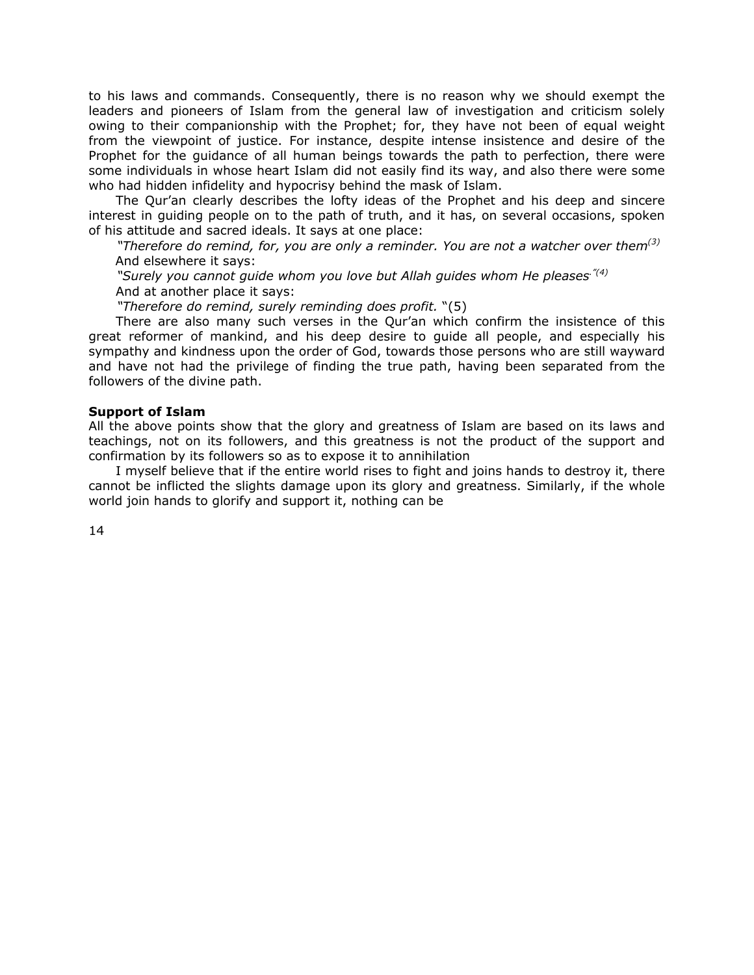to his laws and commands. Consequently, there is no reason why we should exempt the leaders and pioneers of Islam from the general law of investigation and criticism solely owing to their companionship with the Prophet; for, they have not been of equal weight from the viewpoint of justice. For instance, despite intense insistence and desire of the Prophet for the guidance of all human beings towards the path to perfection, there were some individuals in whose heart Islam did not easily find its way, and also there were some who had hidden infidelity and hypocrisy behind the mask of Islam.

The Qur'an clearly describes the lofty ideas of the Prophet and his deep and sincere interest in guiding people on to the path of truth, and it has, on several occasions, spoken of his attitude and sacred ideals. It says at one place:

*"Therefore do remind, for, you are only a reminder. You are not a watcher over them(3)* And elsewhere it says:

*"Surely you cannot guide whom you love but Allah guides whom He pleases."(4)* And at another place it says:

*"Therefore do remind, surely reminding does profit.* "(5)

There are also many such verses in the Qur'an which confirm the insistence of this great reformer of mankind, and his deep desire to guide all people, and especially his sympathy and kindness upon the order of God, towards those persons who are still wayward and have not had the privilege of finding the true path, having been separated from the followers of the divine path.

## **Support of Islam**

All the above points show that the glory and greatness of Islam are based on its laws and teachings, not on its followers, and this greatness is not the product of the support and confirmation by its followers so as to expose it to annihilation

I myself believe that if the entire world rises to fight and joins hands to destroy it, there cannot be inflicted the slights damage upon its glory and greatness. Similarly, if the whole world join hands to glorify and support it, nothing can be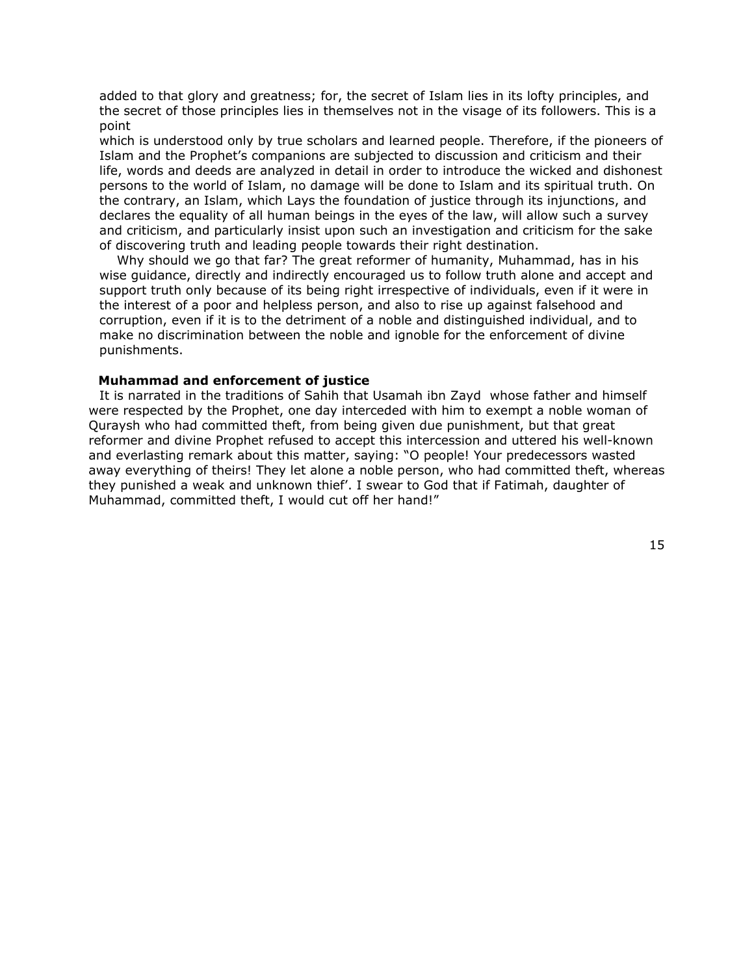added to that glory and greatness; for, the secret of Islam lies in its lofty principles, and the secret of those principles lies in themselves not in the visage of its followers. This is a point

 which is understood only by true scholars and learned people. Therefore, if the pioneers of Islam and the Prophet's companions are subjected to discussion and criticism and their life, words and deeds are analyzed in detail in order to introduce the wicked and dishonest persons to the world of Islam, no damage will be done to Islam and its spiritual truth. On the contrary, an Islam, which Lays the foundation of justice through its injunctions, and declares the equality of all human beings in the eyes of the law, will allow such a survey and criticism, and particularly insist upon such an investigation and criticism for the sake of discovering truth and leading people towards their right destination.

Why should we go that far? The great reformer of humanity, Muhammad, has in his wise guidance, directly and indirectly encouraged us to follow truth alone and accept and support truth only because of its being right irrespective of individuals, even if it were in the interest of a poor and helpless person, and also to rise up against falsehood and corruption, even if it is to the detriment of a noble and distinguished individual, and to make no discrimination between the noble and ignoble for the enforcement of divine punishments.

## **Muhammad and enforcement of justice**

It is narrated in the traditions of Sahih that Usamah ibn Zayd whose father and himself were respected by the Prophet, one day interceded with him to exempt a noble woman of Quraysh who had committed theft, from being given due punishment, but that great reformer and divine Prophet refused to accept this intercession and uttered his well-known and everlasting remark about this matter, saying: "O people! Your predecessors wasted away everything of theirs! They let alone a noble person, who had committed theft, whereas they punished a weak and unknown thief'. I swear to God that if Fatimah, daughter of Muhammad, committed theft, I would cut off her hand!"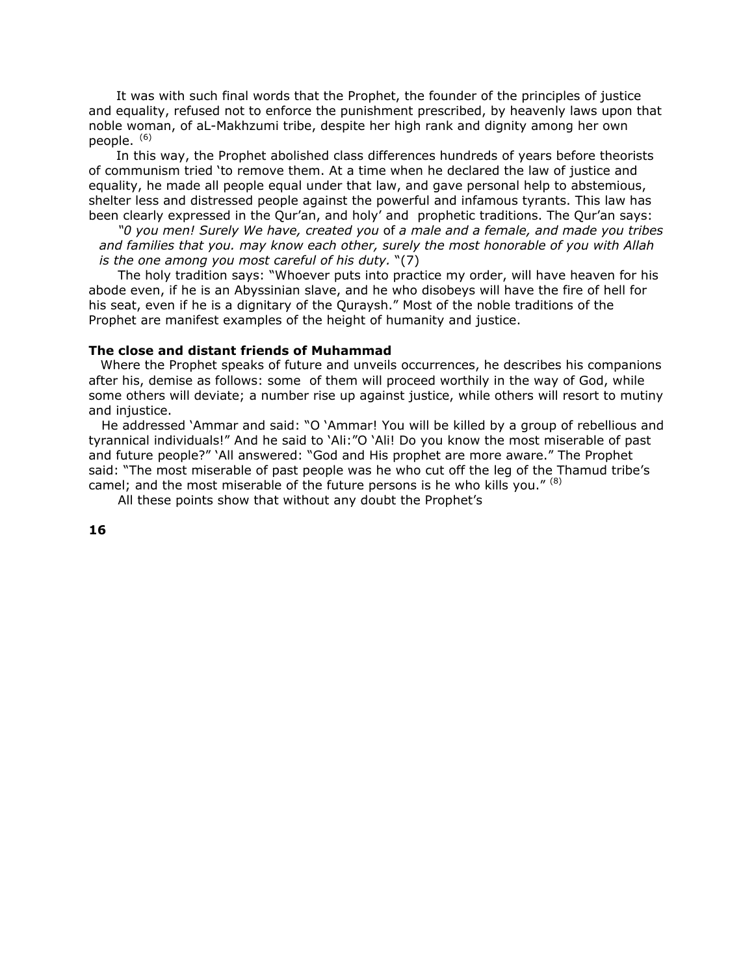It was with such final words that the Prophet, the founder of the principles of justice and equality, refused not to enforce the punishment prescribed, by heavenly laws upon that noble woman, of aL-Makhzumi tribe, despite her high rank and dignity among her own people.  $(6)$ 

In this way, the Prophet abolished class differences hundreds of years before theorists of communism tried 'to remove them. At a time when he declared the law of justice and equality, he made all people equal under that law, and gave personal help to abstemious, shelter less and distressed people against the powerful and infamous tyrants. This law has been clearly expressed in the Qur'an, and holy' and prophetic traditions. The Qur'an says:

*"0 you men! Surely We have, created you* of *a male and a female, and made you tribes and families that you. may know each other, surely the most honorable of you with Allah is the one among you most careful of his duty.* "(7)

The holy tradition says: "Whoever puts into practice my order, will have heaven for his abode even, if he is an Abyssinian slave, and he who disobeys will have the fire of hell for his seat, even if he is a dignitary of the Quraysh." Most of the noble traditions of the Prophet are manifest examples of the height of humanity and justice.

#### **The close and distant friends of Muhammad**

Where the Prophet speaks of future and unveils occurrences, he describes his companions after his, demise as follows: some of them will proceed worthily in the way of God, while some others will deviate; a number rise up against justice, while others will resort to mutiny and injustice.

 He addressed 'Ammar and said: "O 'Ammar! You will be killed by a group of rebellious and tyrannical individuals!" And he said to 'Ali:"O 'Ali! Do you know the most miserable of past and future people?" 'All answered: "God and His prophet are more aware." The Prophet said: "The most miserable of past people was he who cut off the leg of the Thamud tribe's camel; and the most miserable of the future persons is he who kills you."  $(8)$ 

All these points show that without any doubt the Prophet's

**16**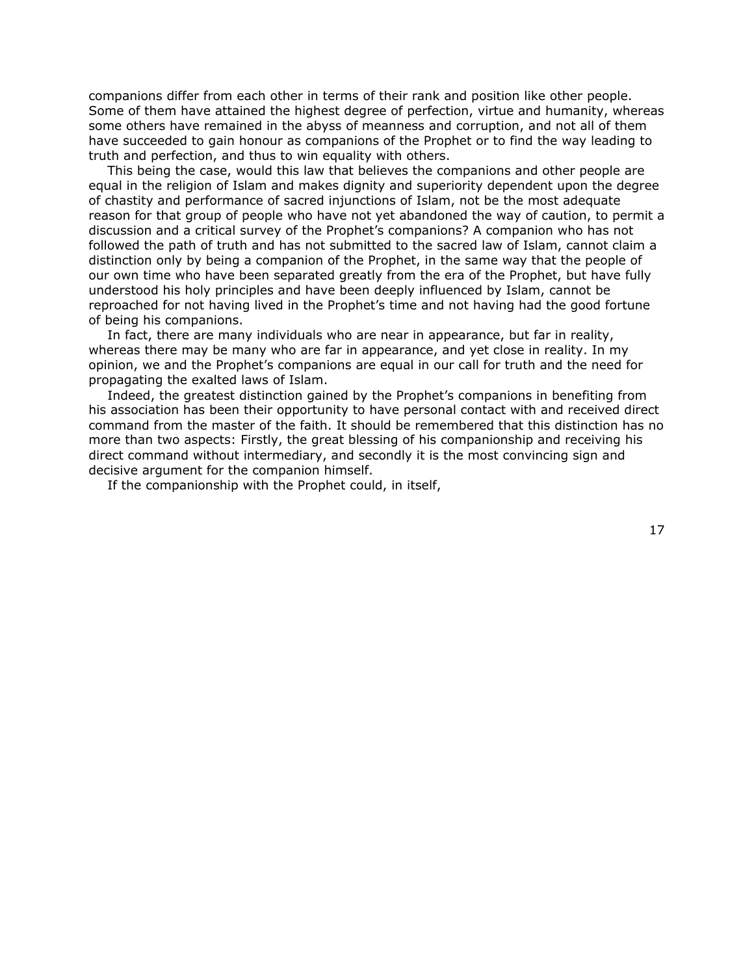companions differ from each other in terms of their rank and position like other people. Some of them have attained the highest degree of perfection, virtue and humanity, whereas some others have remained in the abyss of meanness and corruption, and not all of them have succeeded to gain honour as companions of the Prophet or to find the way leading to truth and perfection, and thus to win equality with others.

This being the case, would this law that believes the companions and other people are equal in the religion of Islam and makes dignity and superiority dependent upon the degree of chastity and performance of sacred injunctions of Islam, not be the most adequate reason for that group of people who have not yet abandoned the way of caution, to permit a discussion and a critical survey of the Prophet's companions? A companion who has not followed the path of truth and has not submitted to the sacred law of Islam, cannot claim a distinction only by being a companion of the Prophet, in the same way that the people of our own time who have been separated greatly from the era of the Prophet, but have fully understood his holy principles and have been deeply influenced by Islam, cannot be reproached for not having lived in the Prophet's time and not having had the good fortune of being his companions.

In fact, there are many individuals who are near in appearance, but far in reality, whereas there may be many who are far in appearance, and yet close in reality. In my opinion, we and the Prophet's companions are equal in our call for truth and the need for propagating the exalted laws of Islam.

Indeed, the greatest distinction gained by the Prophet's companions in benefiting from his association has been their opportunity to have personal contact with and received direct command from the master of the faith. It should be remembered that this distinction has no more than two aspects: Firstly, the great blessing of his companionship and receiving his direct command without intermediary, and secondly it is the most convincing sign and decisive argument for the companion himself.

If the companionship with the Prophet could, in itself,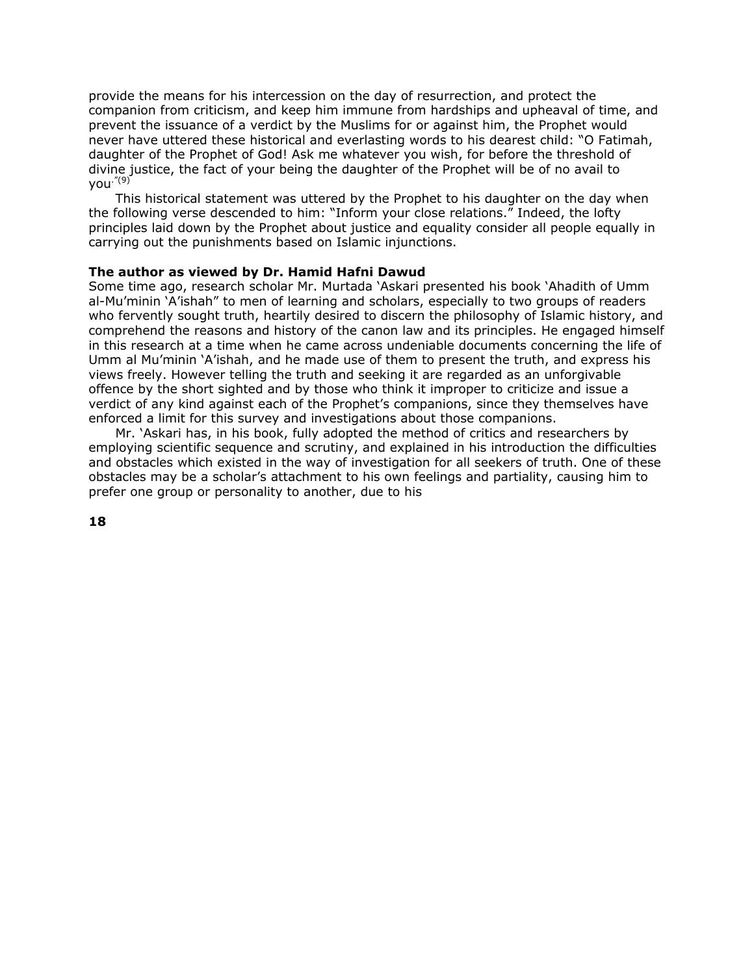provide the means for his intercession on the day of resurrection, and protect the companion from criticism, and keep him immune from hardships and upheaval of time, and prevent the issuance of a verdict by the Muslims for or against him, the Prophet would never have uttered these historical and everlasting words to his dearest child: "O Fatimah, daughter of the Prophet of God! Ask me whatever you wish, for before the threshold of divine justice, the fact of your being the daughter of the Prophet will be of no avail to you."(9)

 This historical statement was uttered by the Prophet to his daughter on the day when the following verse descended to him: "Inform your close relations." Indeed, the lofty principles laid down by the Prophet about justice and equality consider all people equally in carrying out the punishments based on Islamic injunctions.

# **The author as viewed by Dr. Hamid Hafni Dawud**

Some time ago, research scholar Mr. Murtada 'Askari presented his book 'Ahadith of Umm al-Mu'minin 'A'ishah" to men of learning and scholars, especially to two groups of readers who fervently sought truth, heartily desired to discern the philosophy of Islamic history, and comprehend the reasons and history of the canon law and its principles. He engaged himself in this research at a time when he came across undeniable documents concerning the life of Umm al Mu'minin 'A'ishah, and he made use of them to present the truth, and express his views freely. However telling the truth and seeking it are regarded as an unforgivable offence by the short sighted and by those who think it improper to criticize and issue a verdict of any kind against each of the Prophet's companions, since they themselves have enforced a limit for this survey and investigations about those companions.

 Mr. 'Askari has, in his book, fully adopted the method of critics and researchers by employing scientific sequence and scrutiny, and explained in his introduction the difficulties and obstacles which existed in the way of investigation for all seekers of truth. One of these obstacles may be a scholar's attachment to his own feelings and partiality, causing him to prefer one group or personality to another, due to his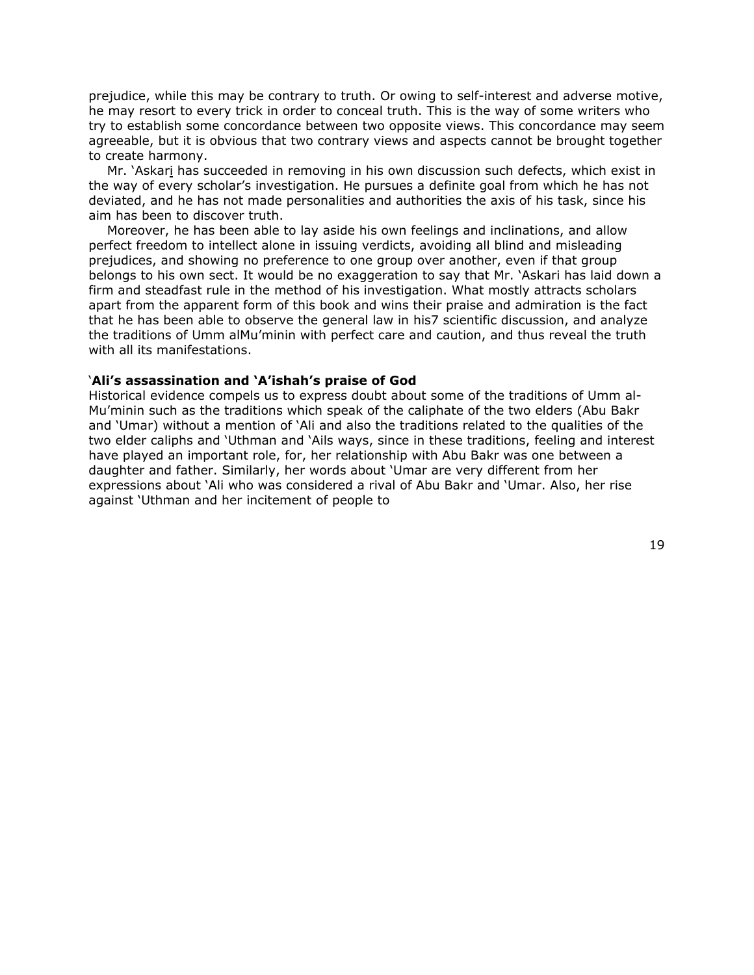prejudice, while this may be contrary to truth. Or owing to self-interest and adverse motive, he may resort to every trick in order to conceal truth. This is the way of some writers who try to establish some concordance between two opposite views. This concordance may seem agreeable, but it is obvious that two contrary views and aspects cannot be brought together to create harmony.

Mr. 'Askari has succeeded in removing in his own discussion such defects, which exist in the way of every scholar's investigation. He pursues a definite goal from which he has not deviated, and he has not made personalities and authorities the axis of his task, since his aim has been to discover truth.

Moreover, he has been able to lay aside his own feelings and inclinations, and allow perfect freedom to intellect alone in issuing verdicts, avoiding all blind and misleading prejudices, and showing no preference to one group over another, even if that group belongs to his own sect. It would be no exaggeration to say that Mr. 'Askari has laid down a firm and steadfast rule in the method of his investigation. What mostly attracts scholars apart from the apparent form of this book and wins their praise and admiration is the fact that he has been able to observe the general law in his7 scientific discussion, and analyze the traditions of Umm alMu'minin with perfect care and caution, and thus reveal the truth with all its manifestations.

#### '**Ali's assassination and 'A'ishah's praise of God**

Historical evidence compels us to express doubt about some of the traditions of Umm al-Mu'minin such as the traditions which speak of the caliphate of the two elders (Abu Bakr and 'Umar) without a mention of 'Ali and also the traditions related to the qualities of the two elder caliphs and 'Uthman and 'Ails ways, since in these traditions, feeling and interest have played an important role, for, her relationship with Abu Bakr was one between a daughter and father. Similarly, her words about 'Umar are very different from her expressions about 'Ali who was considered a rival of Abu Bakr and 'Umar. Also, her rise against 'Uthman and her incitement of people to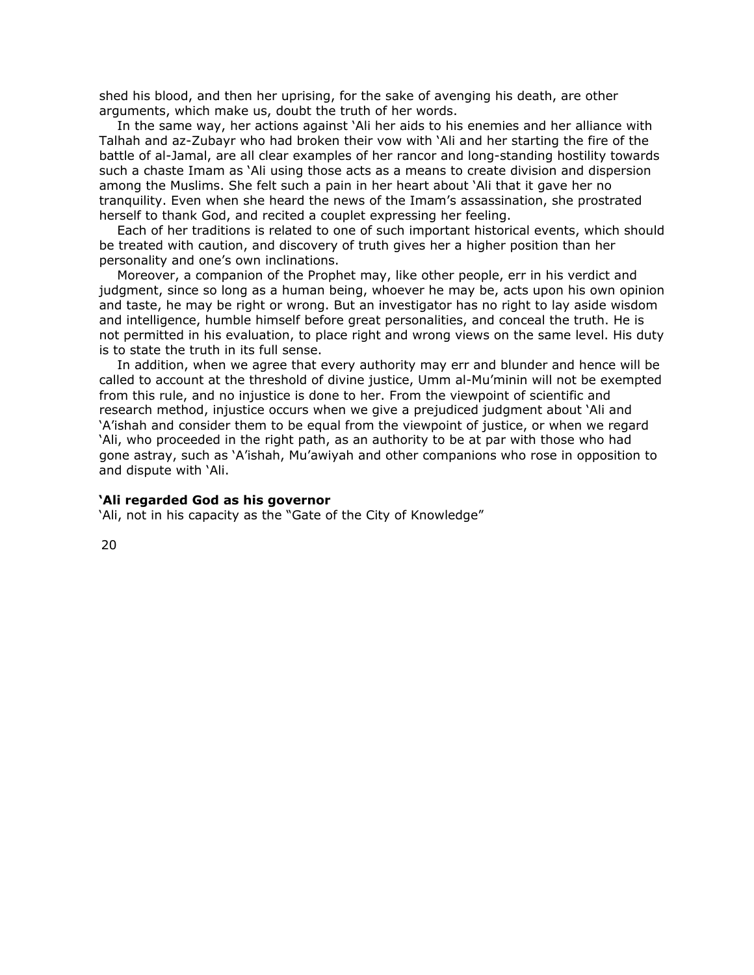shed his blood, and then her uprising, for the sake of avenging his death, are other arguments, which make us, doubt the truth of her words.

In the same way, her actions against 'Ali her aids to his enemies and her alliance with Talhah and az-Zubayr who had broken their vow with 'Ali and her starting the fire of the battle of al-Jamal, are all clear examples of her rancor and long-standing hostility towards such a chaste Imam as 'Ali using those acts as a means to create division and dispersion among the Muslims. She felt such a pain in her heart about 'Ali that it gave her no tranquility. Even when she heard the news of the Imam's assassination, she prostrated herself to thank God, and recited a couplet expressing her feeling.

Each of her traditions is related to one of such important historical events, which should be treated with caution, and discovery of truth gives her a higher position than her personality and one's own inclinations.

Moreover, a companion of the Prophet may, like other people, err in his verdict and judgment, since so long as a human being, whoever he may be, acts upon his own opinion and taste, he may be right or wrong. But an investigator has no right to lay aside wisdom and intelligence, humble himself before great personalities, and conceal the truth. He is not permitted in his evaluation, to place right and wrong views on the same level. His duty is to state the truth in its full sense.

In addition, when we agree that every authority may err and blunder and hence will be called to account at the threshold of divine justice, Umm al-Mu'minin will not be exempted from this rule, and no injustice is done to her. From the viewpoint of scientific and research method, injustice occurs when we give a prejudiced judgment about 'Ali and 'A'ishah and consider them to be equal from the viewpoint of justice, or when we regard 'Ali, who proceeded in the right path, as an authority to be at par with those who had gone astray, such as 'A'ishah, Mu'awiyah and other companions who rose in opposition to and dispute with 'Ali.

#### **'Ali regarded God as his governor**

'Ali, not in his capacity as the "Gate of the City of Knowledge"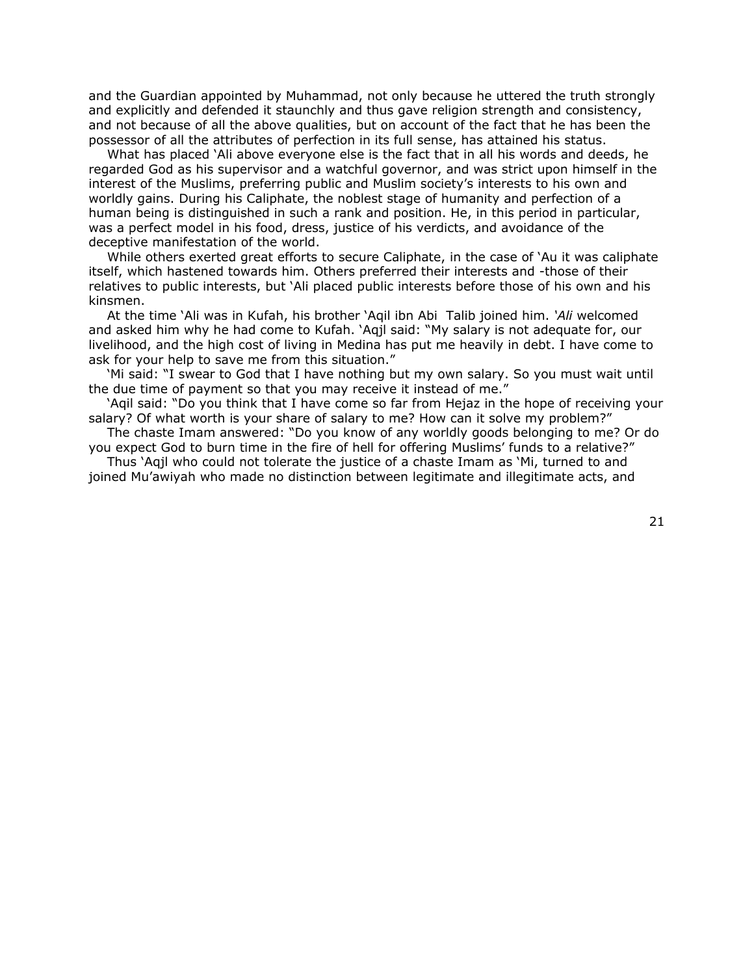and the Guardian appointed by Muhammad, not only because he uttered the truth strongly and explicitly and defended it staunchly and thus gave religion strength and consistency, and not because of all the above qualities, but on account of the fact that he has been the possessor of all the attributes of perfection in its full sense, has attained his status.

What has placed 'Ali above everyone else is the fact that in all his words and deeds, he regarded God as his supervisor and a watchful governor, and was strict upon himself in the interest of the Muslims, preferring public and Muslim society's interests to his own and worldly gains. During his Caliphate, the noblest stage of humanity and perfection of a human being is distinguished in such a rank and position. He, in this period in particular, was a perfect model in his food, dress, justice of his verdicts, and avoidance of the deceptive manifestation of the world.

While others exerted great efforts to secure Caliphate, in the case of 'Au it was caliphate itself, which hastened towards him. Others preferred their interests and -those of their relatives to public interests, but 'Ali placed public interests before those of his own and his kinsmen.

At the time 'Ali was in Kufah, his brother 'Aqil ibn Abi Talib joined him. *'Ali* welcomed and asked him why he had come to Kufah. 'Aqjl said: "My salary is not adequate for, our livelihood, and the high cost of living in Medina has put me heavily in debt. I have come to ask for your help to save me from this situation."

'Mi said: "I swear to God that I have nothing but my own salary. So you must wait until the due time of payment so that you may receive it instead of me."

'Aqil said: "Do you think that I have come so far from Hejaz in the hope of receiving your salary? Of what worth is your share of salary to me? How can it solve my problem?"

The chaste Imam answered: "Do you know of any worldly goods belonging to me? Or do you expect God to burn time in the fire of hell for offering Muslims' funds to a relative?"

Thus 'Aqjl who could not tolerate the justice of a chaste Imam as 'Mi, turned to and joined Mu'awiyah who made no distinction between legitimate and illegitimate acts, and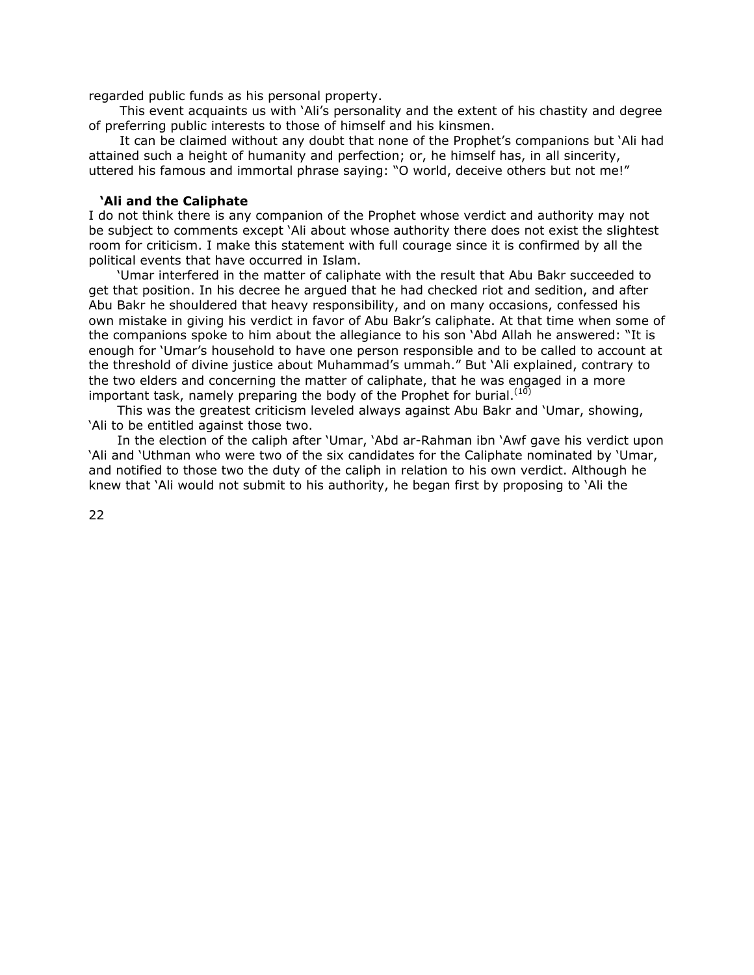regarded public funds as his personal property.

 This event acquaints us with 'Ali's personality and the extent of his chastity and degree of preferring public interests to those of himself and his kinsmen.

 It can be claimed without any doubt that none of the Prophet's companions but 'Ali had attained such a height of humanity and perfection; or, he himself has, in all sincerity, uttered his famous and immortal phrase saying: "O world, deceive others but not me!"

# **'Ali and the Caliphate**

I do not think there is any companion of the Prophet whose verdict and authority may not be subject to comments except 'Ali about whose authority there does not exist the slightest room for criticism. I make this statement with full courage since it is confirmed by all the political events that have occurred in Islam.

 'Umar interfered in the matter of caliphate with the result that Abu Bakr succeeded to get that position. In his decree he argued that he had checked riot and sedition, and after Abu Bakr he shouldered that heavy responsibility, and on many occasions, confessed his own mistake in giving his verdict in favor of Abu Bakr's caliphate. At that time when some of the companions spoke to him about the allegiance to his son 'Abd Allah he answered: "It is enough for 'Umar's household to have one person responsible and to be called to account at the threshold of divine justice about Muhammad's ummah." But 'Ali explained, contrary to the two elders and concerning the matter of caliphate, that he was engaged in a more important task, namely preparing the body of the Prophet for burial. $(10)$ 

 This was the greatest criticism leveled always against Abu Bakr and 'Umar, showing, 'Ali to be entitled against those two.

 In the election of the caliph after 'Umar, 'Abd ar-Rahman ibn 'Awf gave his verdict upon 'Ali and 'Uthman who were two of the six candidates for the Caliphate nominated by 'Umar, and notified to those two the duty of the caliph in relation to his own verdict. Although he knew that 'Ali would not submit to his authority, he began first by proposing to 'Ali the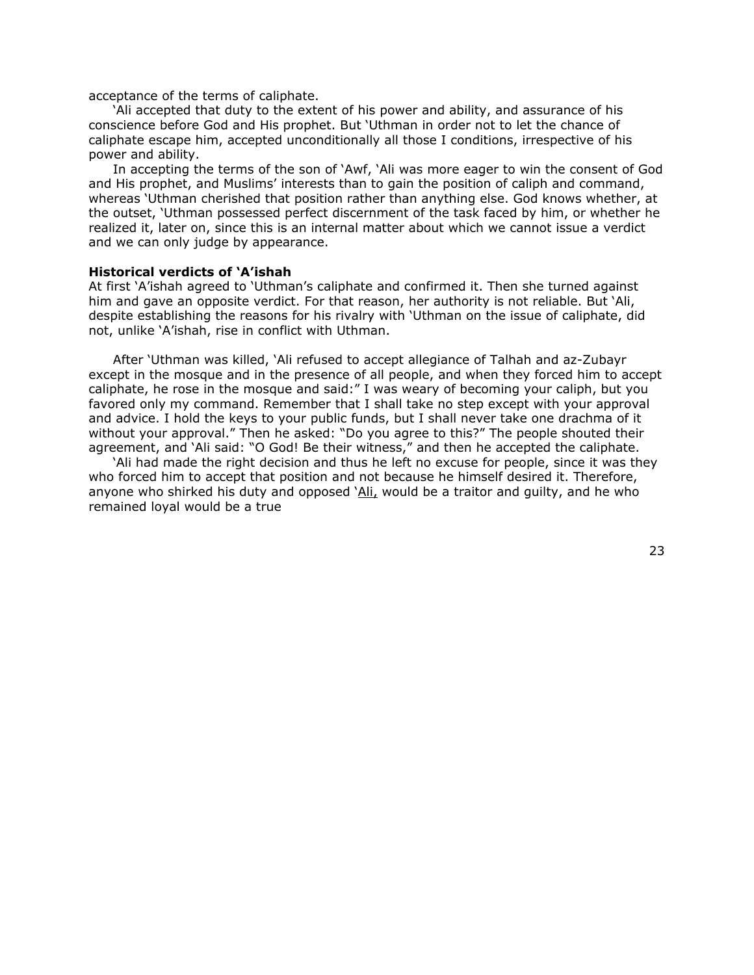acceptance of the terms of caliphate.

'Ali accepted that duty to the extent of his power and ability, and assurance of his conscience before God and His prophet. But 'Uthman in order not to let the chance of caliphate escape him, accepted unconditionally all those I conditions, irrespective of his power and ability.

In accepting the terms of the son of 'Awf, 'Ali was more eager to win the consent of God and His prophet, and Muslims' interests than to gain the position of caliph and command, whereas 'Uthman cherished that position rather than anything else. God knows whether, at the outset, 'Uthman possessed perfect discernment of the task faced by him, or whether he realized it, later on, since this is an internal matter about which we cannot issue a verdict and we can only judge by appearance.

#### **Historical verdicts of 'A'ishah**

At first 'A'ishah agreed to 'Uthman's caliphate and confirmed it. Then she turned against him and gave an opposite verdict. For that reason, her authority is not reliable. But 'Ali, despite establishing the reasons for his rivalry with 'Uthman on the issue of caliphate, did not, unlike 'A'ishah, rise in conflict with Uthman.

After 'Uthman was killed, 'Ali refused to accept allegiance of Talhah and az-Zubayr except in the mosque and in the presence of all people, and when they forced him to accept caliphate, he rose in the mosque and said:" I was weary of becoming your caliph, but you favored only my command. Remember that I shall take no step except with your approval and advice. I hold the keys to your public funds, but I shall never take one drachma of it without your approval." Then he asked: "Do you agree to this?" The people shouted their agreement, and 'Ali said: "O God! Be their witness," and then he accepted the caliphate.

'Ali had made the right decision and thus he left no excuse for people, since it was they who forced him to accept that position and not because he himself desired it. Therefore, anyone who shirked his duty and opposed 'Ali, would be a traitor and guilty, and he who remained loyal would be a true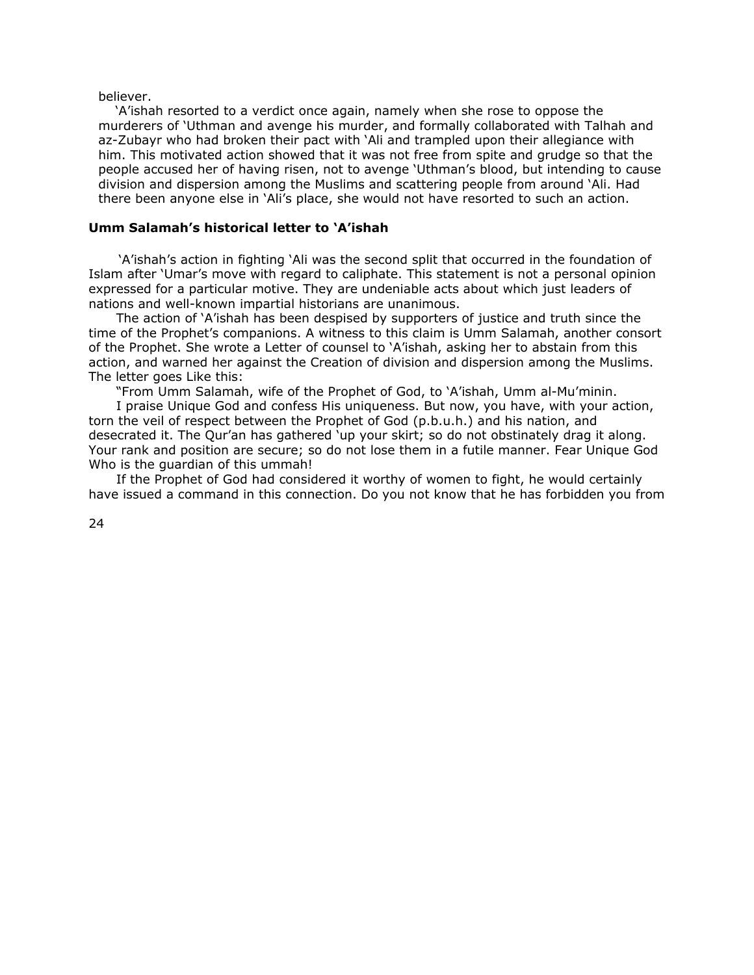believer.

'A'ishah resorted to a verdict once again, namely when she rose to oppose the murderers of 'Uthman and avenge his murder, and formally collaborated with Talhah and az-Zubayr who had broken their pact with 'Ali and trampled upon their allegiance with him. This motivated action showed that it was not free from spite and grudge so that the people accused her of having risen, not to avenge 'Uthman's blood, but intending to cause division and dispersion among the Muslims and scattering people from around 'Ali. Had there been anyone else in 'Ali's place, she would not have resorted to such an action.

# **Umm Salamah's historical letter to 'A'ishah**

 'A'ishah's action in fighting 'Ali was the second split that occurred in the foundation of Islam after 'Umar's move with regard to caliphate. This statement is not a personal opinion expressed for a particular motive. They are undeniable acts about which just leaders of nations and well-known impartial historians are unanimous.

 The action of 'A'ishah has been despised by supporters of justice and truth since the time of the Prophet's companions. A witness to this claim is Umm Salamah, another consort of the Prophet. She wrote a Letter of counsel to 'A'ishah, asking her to abstain from this action, and warned her against the Creation of division and dispersion among the Muslims. The letter goes Like this:

"From Umm Salamah, wife of the Prophet of God, to 'A'ishah, Umm al-Mu'minin.

 I praise Unique God and confess His uniqueness. But now, you have, with your action, torn the veil of respect between the Prophet of God (p.b.u.h.) and his nation, and desecrated it. The Qur'an has gathered 'up your skirt; so do not obstinately drag it along. Your rank and position are secure; so do not lose them in a futile manner. Fear Unique God Who is the guardian of this ummah!

 If the Prophet of God had considered it worthy of women to fight, he would certainly have issued a command in this connection. Do you not know that he has forbidden you from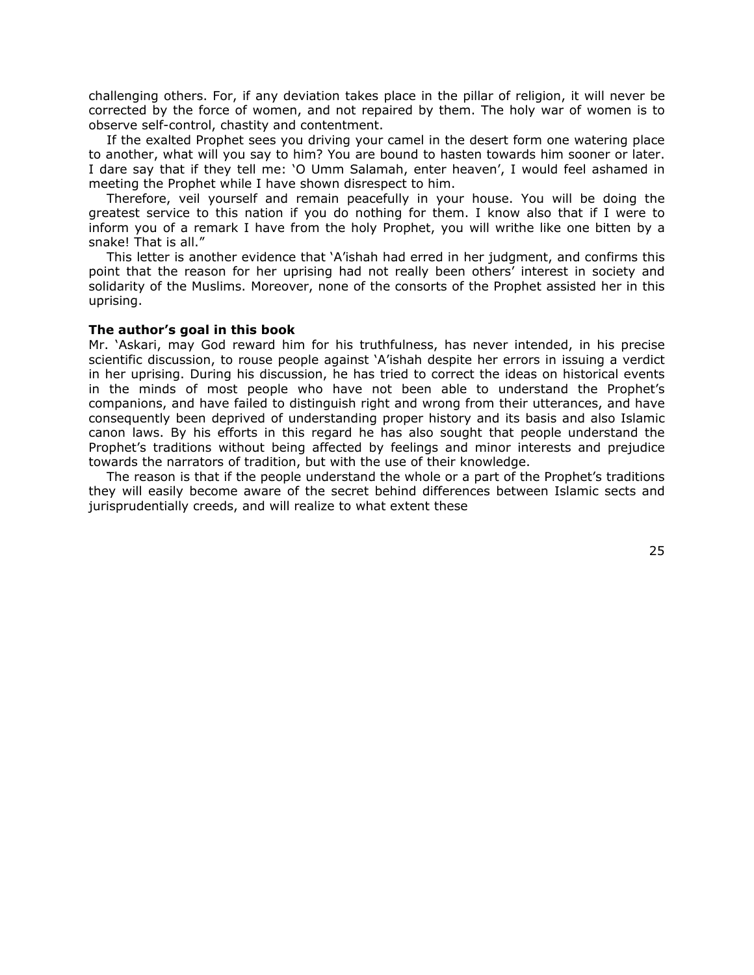challenging others. For, if any deviation takes place in the pillar of religion, it will never be corrected by the force of women, and not repaired by them. The holy war of women is to observe self-control, chastity and contentment.

If the exalted Prophet sees you driving your camel in the desert form one watering place to another, what will you say to him? You are bound to hasten towards him sooner or later. I dare say that if they tell me: 'O Umm Salamah, enter heaven', I would feel ashamed in meeting the Prophet while I have shown disrespect to him.

Therefore, veil yourself and remain peacefully in your house. You will be doing the greatest service to this nation if you do nothing for them. I know also that if I were to inform you of a remark I have from the holy Prophet, you will writhe like one bitten by a snake! That is all."

This letter is another evidence that 'A'ishah had erred in her judgment, and confirms this point that the reason for her uprising had not really been others' interest in society and solidarity of the Muslims. Moreover, none of the consorts of the Prophet assisted her in this uprising.

# **The author's goal in this book**

Mr. 'Askari, may God reward him for his truthfulness, has never intended, in his precise scientific discussion, to rouse people against 'A'ishah despite her errors in issuing a verdict in her uprising. During his discussion, he has tried to correct the ideas on historical events in the minds of most people who have not been able to understand the Prophet's companions, and have failed to distinguish right and wrong from their utterances, and have consequently been deprived of understanding proper history and its basis and also Islamic canon laws. By his efforts in this regard he has also sought that people understand the Prophet's traditions without being affected by feelings and minor interests and prejudice towards the narrators of tradition, but with the use of their knowledge.

The reason is that if the people understand the whole or a part of the Prophet's traditions they will easily become aware of the secret behind differences between Islamic sects and jurisprudentially creeds, and will realize to what extent these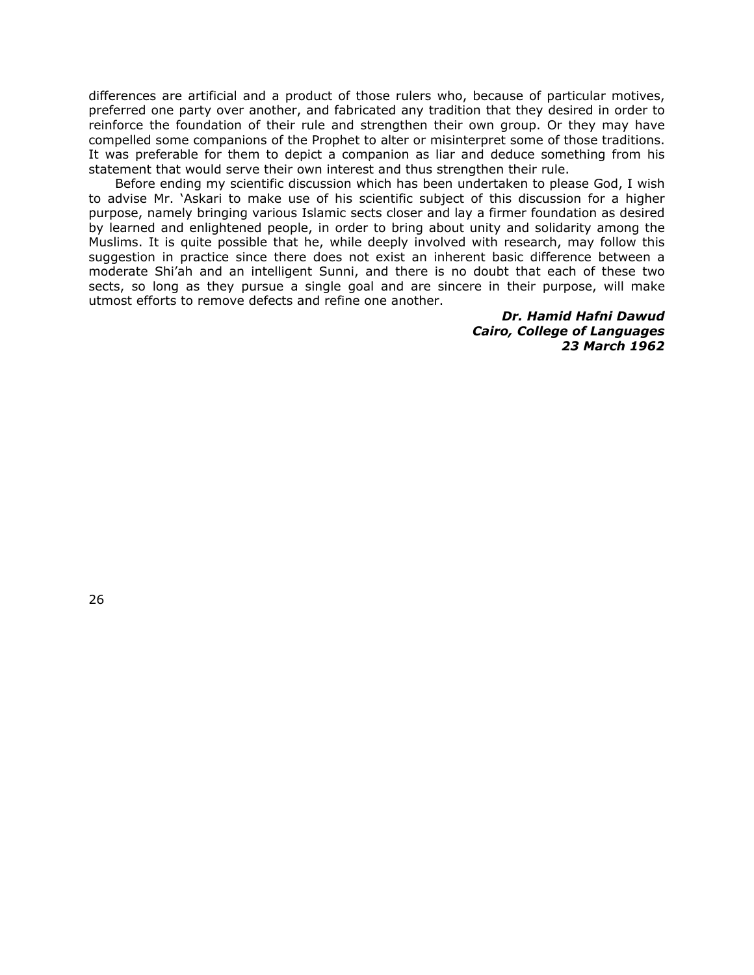differences are artificial and a product of those rulers who, because of particular motives, preferred one party over another, and fabricated any tradition that they desired in order to reinforce the foundation of their rule and strengthen their own group. Or they may have compelled some companions of the Prophet to alter or misinterpret some of those traditions. It was preferable for them to depict a companion as liar and deduce something from his statement that would serve their own interest and thus strengthen their rule.

Before ending my scientific discussion which has been undertaken to please God, I wish to advise Mr. 'Askari to make use of his scientific subject of this discussion for a higher purpose, namely bringing various Islamic sects closer and lay a firmer foundation as desired by learned and enlightened people, in order to bring about unity and solidarity among the Muslims. It is quite possible that he, while deeply involved with research, may follow this suggestion in practice since there does not exist an inherent basic difference between a moderate Shi'ah and an intelligent Sunni, and there is no doubt that each of these two sects, so long as they pursue a single goal and are sincere in their purpose, will make utmost efforts to remove defects and refine one another.

> *Dr. Hamid Hafni Dawud Cairo, College of Languages 23 March 1962*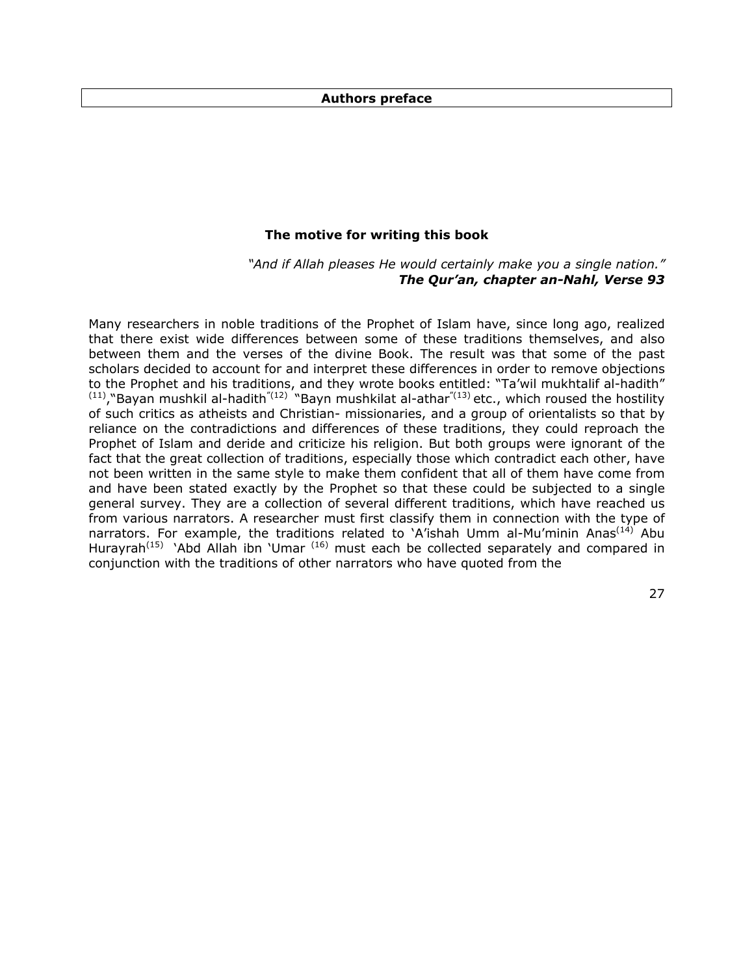## **Authors preface**

# **The motive for writing this book**

*"And if Allah pleases He would certainly make you a single nation." The Qur'an, chapter an-Nahl, Verse 93* 

Many researchers in noble traditions of the Prophet of Islam have, since long ago, realized that there exist wide differences between some of these traditions themselves, and also between them and the verses of the divine Book. The result was that some of the past scholars decided to account for and interpret these differences in order to remove objections to the Prophet and his traditions, and they wrote books entitled: "Ta'wil mukhtalif al-hadith"  $(11)$ ,"Bayan mushkil al-hadith<sup>"(12)</sup> "Bayn mushkilat al-athar<sup>"(13)</sup> etc., which roused the hostility of such critics as atheists and Christian- missionaries, and a group of orientalists so that by reliance on the contradictions and differences of these traditions, they could reproach the Prophet of Islam and deride and criticize his religion. But both groups were ignorant of the fact that the great collection of traditions, especially those which contradict each other, have not been written in the same style to make them confident that all of them have come from and have been stated exactly by the Prophet so that these could be subjected to a single general survey. They are a collection of several different traditions, which have reached us from various narrators. A researcher must first classify them in connection with the type of narrators. For example, the traditions related to 'A'ishah Umm al-Mu'minin Anas<sup>(14)</sup> Abu Hurayrah<sup>(15)</sup> 'Abd Allah ibn 'Umar<sup>(16)</sup> must each be collected separately and compared in conjunction with the traditions of other narrators who have quoted from the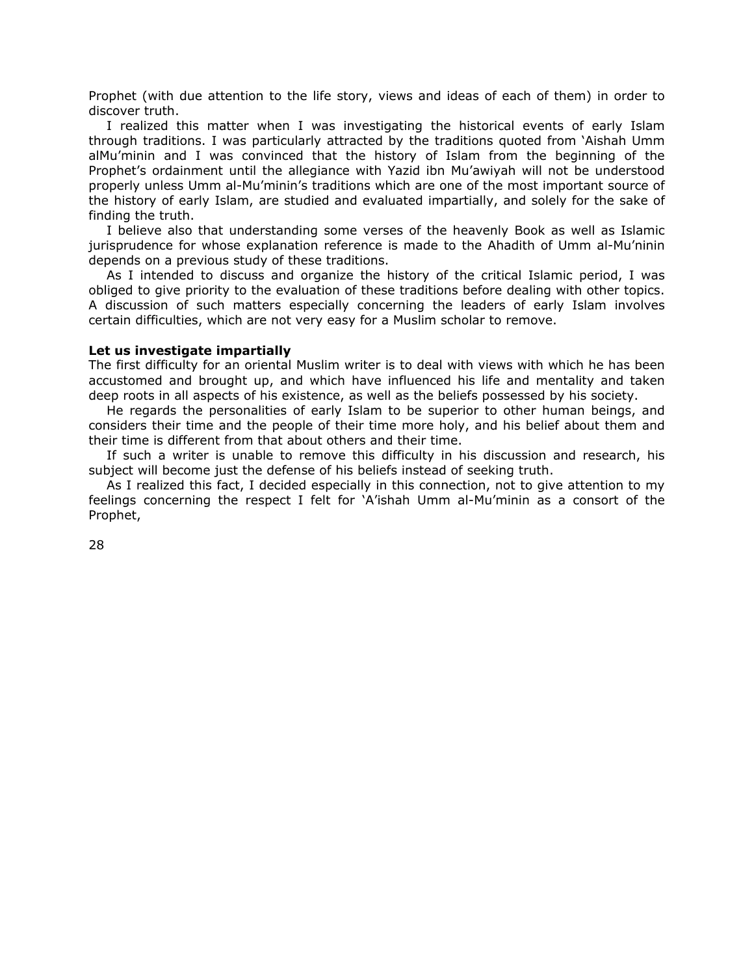Prophet (with due attention to the life story, views and ideas of each of them) in order to discover truth.

I realized this matter when I was investigating the historical events of early Islam through traditions. I was particularly attracted by the traditions quoted from 'Aishah Umm alMu'minin and I was convinced that the history of Islam from the beginning of the Prophet's ordainment until the allegiance with Yazid ibn Mu'awiyah will not be understood properly unless Umm al-Mu'minin's traditions which are one of the most important source of the history of early Islam, are studied and evaluated impartially, and solely for the sake of finding the truth.

I believe also that understanding some verses of the heavenly Book as well as Islamic jurisprudence for whose explanation reference is made to the Ahadith of Umm al-Mu'ninin depends on a previous study of these traditions.

As I intended to discuss and organize the history of the critical Islamic period, I was obliged to give priority to the evaluation of these traditions before dealing with other topics. A discussion of such matters especially concerning the leaders of early Islam involves certain difficulties, which are not very easy for a Muslim scholar to remove.

## **Let us investigate impartially**

The first difficulty for an oriental Muslim writer is to deal with views with which he has been accustomed and brought up, and which have influenced his life and mentality and taken deep roots in all aspects of his existence, as well as the beliefs possessed by his society.

He regards the personalities of early Islam to be superior to other human beings, and considers their time and the people of their time more holy, and his belief about them and their time is different from that about others and their time.

If such a writer is unable to remove this difficulty in his discussion and research, his subject will become just the defense of his beliefs instead of seeking truth.

As I realized this fact, I decided especially in this connection, not to give attention to my feelings concerning the respect I felt for 'A'ishah Umm al-Mu'minin as a consort of the Prophet,

28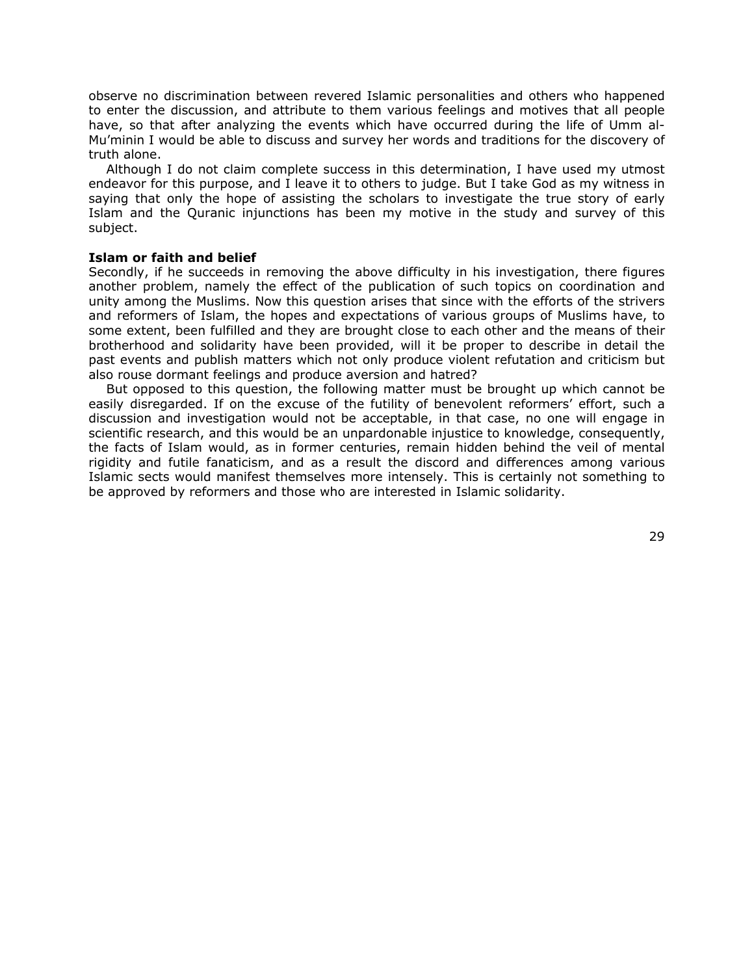observe no discrimination between revered Islamic personalities and others who happened to enter the discussion, and attribute to them various feelings and motives that all people have, so that after analyzing the events which have occurred during the life of Umm al-Mu'minin I would be able to discuss and survey her words and traditions for the discovery of truth alone.

Although I do not claim complete success in this determination, I have used my utmost endeavor for this purpose, and I leave it to others to judge. But I take God as my witness in saying that only the hope of assisting the scholars to investigate the true story of early Islam and the Quranic injunctions has been my motive in the study and survey of this subject.

# **Islam or faith and belief**

Secondly, if he succeeds in removing the above difficulty in his investigation, there figures another problem, namely the effect of the publication of such topics on coordination and unity among the Muslims. Now this question arises that since with the efforts of the strivers and reformers of Islam, the hopes and expectations of various groups of Muslims have, to some extent, been fulfilled and they are brought close to each other and the means of their brotherhood and solidarity have been provided, will it be proper to describe in detail the past events and publish matters which not only produce violent refutation and criticism but also rouse dormant feelings and produce aversion and hatred?

But opposed to this question, the following matter must be brought up which cannot be easily disregarded. If on the excuse of the futility of benevolent reformers' effort, such a discussion and investigation would not be acceptable, in that case, no one will engage in scientific research, and this would be an unpardonable injustice to knowledge, consequently, the facts of Islam would, as in former centuries, remain hidden behind the veil of mental rigidity and futile fanaticism, and as a result the discord and differences among various Islamic sects would manifest themselves more intensely. This is certainly not something to be approved by reformers and those who are interested in Islamic solidarity.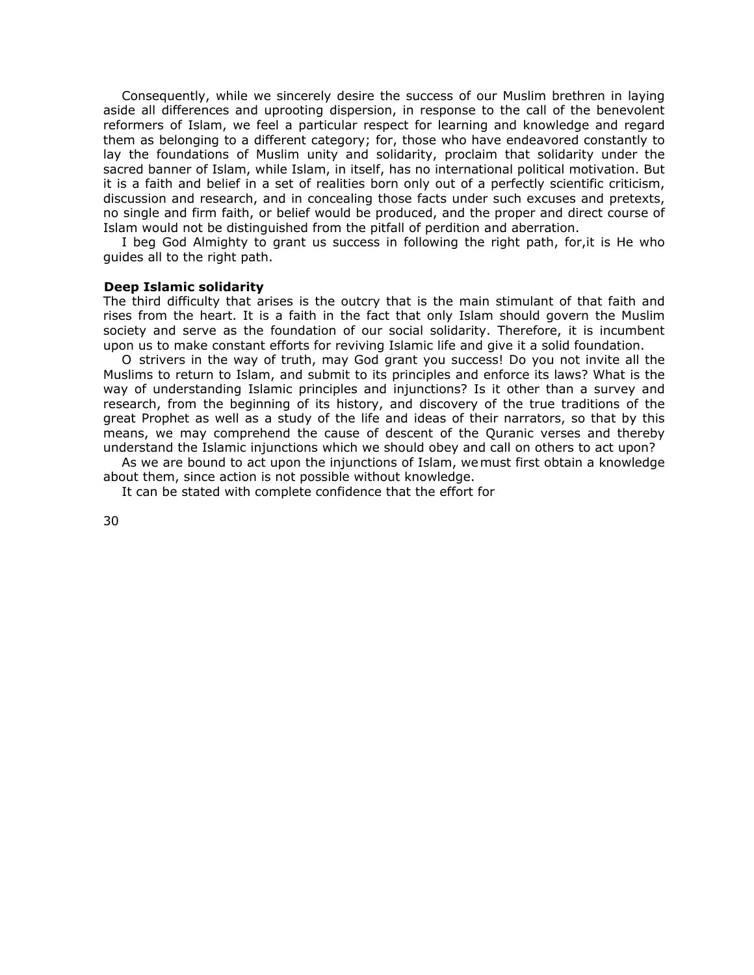Consequently, while we sincerely desire the success of our Muslim brethren in laying aside all differences and uprooting dispersion, in response to the call of the benevolent reformers of Islam, we feel a particular respect for learning and knowledge and regard them as belonging to a different category; for, those who have endeavored constantly to lay the foundations of Muslim unity and solidarity, proclaim that solidarity under the sacred banner of Islam, while Islam, in itself, has no international political motivation. But it is a faith and belief in a set of realities born only out of a perfectly scientific criticism, discussion and research, and in concealing those facts under such excuses and pretexts, no single and firm faith, or belief would be produced, and the proper and direct course of Islam would not be distinguished from the pitfall of perdition and aberration.

I beg God Almighty to grant us success in following the right path, for,it is He who guides all to the right path.

#### **Deep Islamic solidarity**

The third difficulty that arises is the outcry that is the main stimulant of that faith and rises from the heart. It is a faith in the fact that only Islam should govern the Muslim society and serve as the foundation of our social solidarity. Therefore, it is incumbent upon us to make constant efforts for reviving Islamic life and give it a solid foundation.

O strivers in the way of truth, may God grant you success! Do you not invite all the Muslims to return to Islam, and submit to its principles and enforce its laws? What is the way of understanding Islamic principles and injunctions? Is it other than a survey and research, from the beginning of its history, and discovery of the true traditions of the great Prophet as well as a study of the life and ideas of their narrators, so that by this means, we may comprehend the cause of descent of the Quranic verses and thereby understand the Islamic injunctions which we should obey and call on others to act upon?

As we are bound to act upon the injunctions of Islam, wemust first obtain a knowledge about them, since action is not possible without knowledge.

It can be stated with complete confidence that the effort for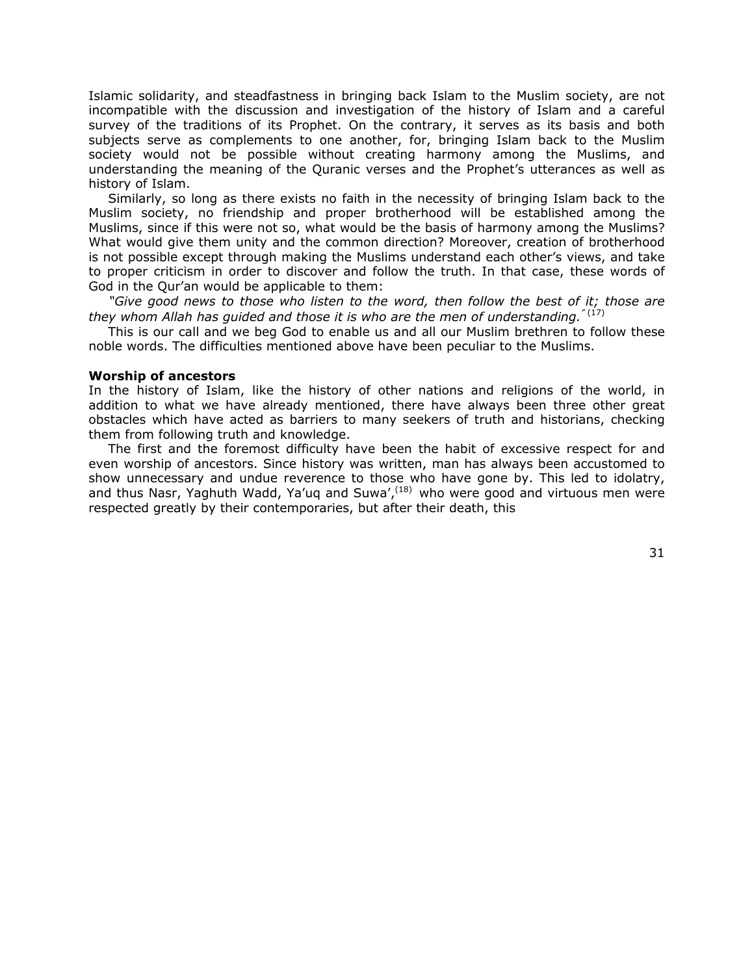Islamic solidarity, and steadfastness in bringing back Islam to the Muslim society, are not incompatible with the discussion and investigation of the history of Islam and a careful survey of the traditions of its Prophet. On the contrary, it serves as its basis and both subjects serve as complements to one another, for, bringing Islam back to the Muslim society would not be possible without creating harmony among the Muslims, and understanding the meaning of the Quranic verses and the Prophet's utterances as well as history of Islam.

Similarly, so long as there exists no faith in the necessity of bringing Islam back to the Muslim society, no friendship and proper brotherhood will be established among the Muslims, since if this were not so, what would be the basis of harmony among the Muslims? What would give them unity and the common direction? Moreover, creation of brotherhood is not possible except through making the Muslims understand each other's views, and take to proper criticism in order to discover and follow the truth. In that case, these words of God in the Qur'an would be applicable to them:

*"Give good news to those who listen to the word, then follow the best of it; those are they whom Allah has guided and those it is who are the men of understanding."* (17)

This is our call and we beg God to enable us and all our Muslim brethren to follow these noble words. The difficulties mentioned above have been peculiar to the Muslims.

## **Worship of ancestors**

In the history of Islam, like the history of other nations and religions of the world, in addition to what we have already mentioned, there have always been three other great obstacles which have acted as barriers to many seekers of truth and historians, checking them from following truth and knowledge.

The first and the foremost difficulty have been the habit of excessive respect for and even worship of ancestors. Since history was written, man has always been accustomed to show unnecessary and undue reverence to those who have gone by. This led to idolatry, and thus Nasr, Yaghuth Wadd, Ya'uq and Suwa',  $(18)$  who were good and virtuous men were respected greatly by their contemporaries, but after their death, this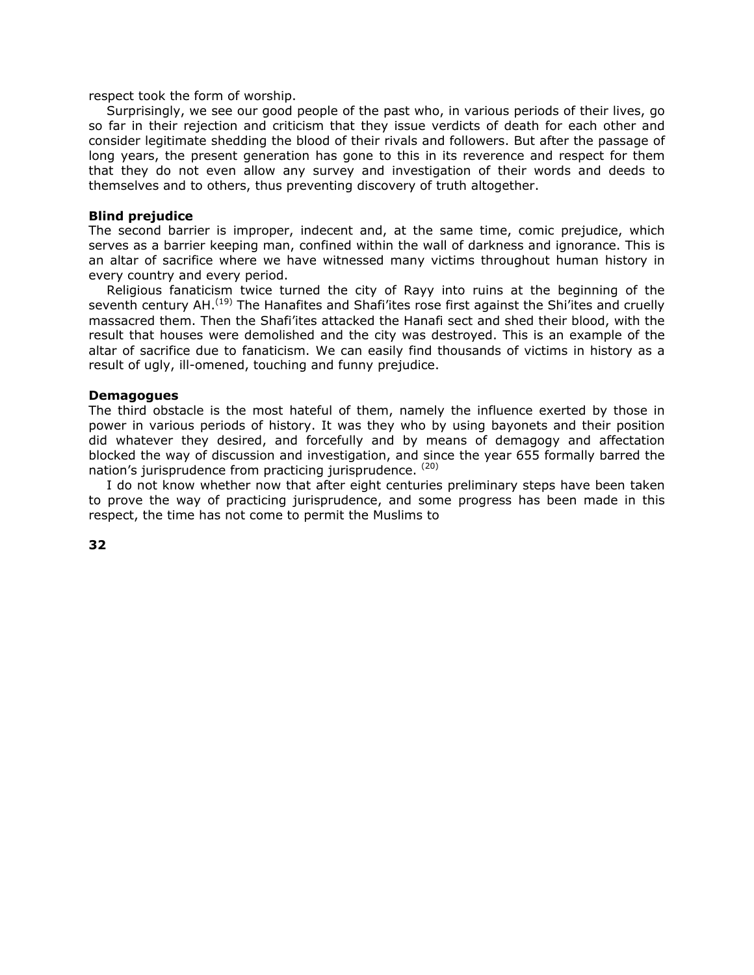respect took the form of worship.

Surprisingly, we see our good people of the past who, in various periods of their lives, go so far in their rejection and criticism that they issue verdicts of death for each other and consider legitimate shedding the blood of their rivals and followers. But after the passage of long years, the present generation has gone to this in its reverence and respect for them that they do not even allow any survey and investigation of their words and deeds to themselves and to others, thus preventing discovery of truth altogether.

# **Blind prejudice**

The second barrier is improper, indecent and, at the same time, comic prejudice, which serves as a barrier keeping man, confined within the wall of darkness and ignorance. This is an altar of sacrifice where we have witnessed many victims throughout human history in every country and every period.

Religious fanaticism twice turned the city of Rayy into ruins at the beginning of the seventh century AH.<sup>(19)</sup> The Hanafites and Shafi'ites rose first against the Shi'ites and cruelly massacred them. Then the Shafi'ites attacked the Hanafi sect and shed their blood, with the result that houses were demolished and the city was destroyed. This is an example of the altar of sacrifice due to fanaticism. We can easily find thousands of victims in history as a result of ugly, ill-omened, touching and funny prejudice.

# **Demagogues**

The third obstacle is the most hateful of them, namely the influence exerted by those in power in various periods of history. It was they who by using bayonets and their position did whatever they desired, and forcefully and by means of demagogy and affectation blocked the way of discussion and investigation, and since the year 655 formally barred the nation's jurisprudence from practicing jurisprudence. (20)

I do not know whether now that after eight centuries preliminary steps have been taken to prove the way of practicing jurisprudence, and some progress has been made in this respect, the time has not come to permit the Muslims to

**32**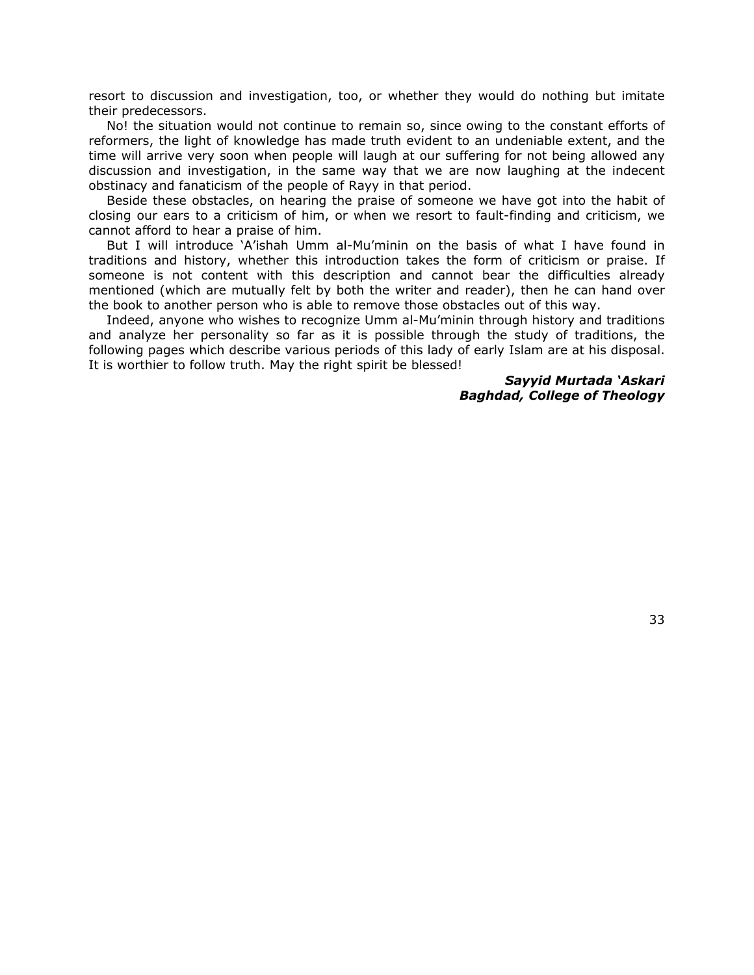resort to discussion and investigation, too, or whether they would do nothing but imitate their predecessors.

No! the situation would not continue to remain so, since owing to the constant efforts of reformers, the light of knowledge has made truth evident to an undeniable extent, and the time will arrive very soon when people will laugh at our suffering for not being allowed any discussion and investigation, in the same way that we are now laughing at the indecent obstinacy and fanaticism of the people of Rayy in that period.

Beside these obstacles, on hearing the praise of someone we have got into the habit of closing our ears to a criticism of him, or when we resort to fault-finding and criticism, we cannot afford to hear a praise of him.

But I will introduce 'A'ishah Umm al-Mu'minin on the basis of what I have found in traditions and history, whether this introduction takes the form of criticism or praise. If someone is not content with this description and cannot bear the difficulties already mentioned (which are mutually felt by both the writer and reader), then he can hand over the book to another person who is able to remove those obstacles out of this way.

Indeed, anyone who wishes to recognize Umm al-Mu'minin through history and traditions and analyze her personality so far as it is possible through the study of traditions, the following pages which describe various periods of this lady of early Islam are at his disposal. It is worthier to follow truth. May the right spirit be blessed!

> *Sayyid Murtada 'Askari Baghdad, College of Theology*